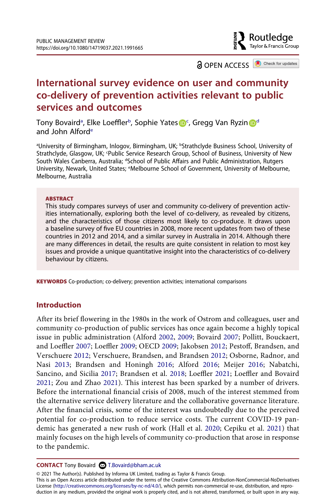

**a** OPEN ACCESS **a** Check for updates

# **International survey evidence on user and community co-delivery of prevention activities relevant to public services and outcomes**

Tony Bovairdª, Elke Loeffler<[s](http://orcid.org/0000-0003-1912-8509)up>b</sup>, Sophie Yates <mark>D</mark><sup>[c](#page-0-1)</sup>, Gregg Van Ryzin D<sup>d</sup> and John Alfor[de](#page-0-3)

<span id="page-0-3"></span><span id="page-0-2"></span><span id="page-0-1"></span><span id="page-0-0"></span><sup>a</sup>University of Birmingham, Inlogov, Birmingham, UK; <sup>b</sup>Strathclyde Business School, University of Strathclyde, Glasgow, UK; <sup>c</sup>Public Service Research Group, School of Business, University of New South Wales Canberra, Australia; <sup>a</sup>School of Public Affairs and Public Administration, Rutgers University, Newark, United States; <sup>e</sup>Melbourne School of Government, University of Melbourne, Melbourne, Australia

### **ABSTRACT**

This study compares surveys of user and community co-delivery of prevention activities internationally, exploring both the level of co-delivery, as revealed by citizens, and the characteristics of those citizens most likely to co-produce. It draws upon a baseline survey of five EU countries in 2008, more recent updates from two of these countries in 2012 and 2014, and a similar survey in Australia in 2014. Although there are many differences in detail, the results are quite consistent in relation to most key issues and provide a unique quantitative insight into the characteristics of co-delivery behaviour by citizens.

**KEYWORDS** Co-production; co-delivery; prevention activities; international comparisons

# **Introduction**

<span id="page-0-10"></span><span id="page-0-9"></span><span id="page-0-8"></span><span id="page-0-6"></span><span id="page-0-5"></span><span id="page-0-4"></span>After its brief flowering in the 1980s in the work of Ostrom and colleagues, user and community co-production of public services has once again become a highly topical issue in public administration (Alford [2002,](#page-19-0) [2009;](#page-19-1) Bovaird [2007](#page-19-2); Pollitt, Bouckaert, and Loeffler [2007;](#page-21-0) Loeffler [2009](#page-20-0); OECD [2009;](#page-21-1) Jakobsen [2012](#page-20-1); Pestoff, Brandsen, and Verschuere [2012](#page-21-2); Verschuere, Brandsen, and Brandsen [2012](#page-22-0); Osborne, Radnor, and Nasi [2013;](#page-21-3) Brandsen and Honingh [2016;](#page-20-2) Alford [2016;](#page-19-3) Meijer [2016;](#page-21-4) Nabatchi, Sancino, and Sicilia [2017;](#page-21-5) Brandsen et al. [2018](#page-20-3); Loeffler [2021](#page-20-4); Loeffler and Bovaird [2021;](#page-20-5) Zou and Zhao [2021\)](#page-22-1). This interest has been sparked by a number of drivers. Before the international financial crisis of 2008, much of the interest stemmed from the alternative service delivery literature and the collaborative governance literature. After the financial crisis, some of the interest was undoubtedly due to the perceived potential for co-production to reduce service costs. The current COVID-19 pandemic has generated a new rush of work (Hall et al. [2020;](#page-20-6) Cepiku et al. [2021](#page-20-7)) that mainly focuses on the high levels of community co-production that arose in response to the pandemic.

<span id="page-0-7"></span>**CONTACT** Tony Bovaird **CO** T.Bovaird@bham.ac.uk

© 2021 The Author(s). Published by Informa UK Limited, trading as Taylor & Francis Group.

This is an Open Access article distributed under the terms of the Creative Commons Attribution-NonCommercial-NoDerivatives License (http://creativecommons.org/licenses/by-nc-nd/4.0/), which permits non-commercial re-use, distribution, and reproduction in any medium, provided the original work is properly cited, and is not altered, transformed, or built upon in any way.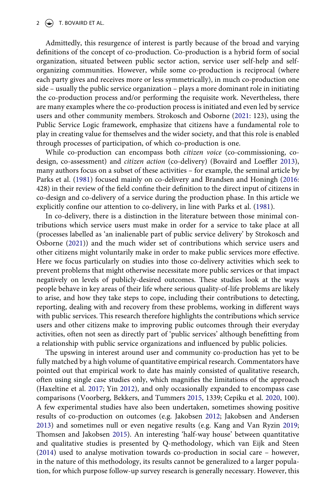Admittedly, this resurgence of interest is partly because of the broad and varying definitions of the concept of co-production. Co-production is a hybrid form of social organization, situated between public sector action, service user self-help and selforganizing communities. However, while some co-production is reciprocal (where each party gives and receives more or less symmetrically), in much co-production one side – usually the public service organization – plays a more dominant role in initiating the co-production process and/or performing the requisite work. Nevertheless, there are many examples where the co-production process is initiated and even led by service users and other community members. Strokosch and Osborne [\(2021](#page-21-6): 123), using the Public Service Logic framework, emphasize that citizens have a fundamental role to play in creating value for themselves and the wider society, and that this role is enabled through processes of participation, of which co-production is one.

<span id="page-1-0"></span>While co-production can encompass both *citizen voice* (co-commissioning, codesign, co-assessment) and *citizen action* (co-delivery) (Bovaird and Loeffler [2013](#page-19-4)), many authors focus on a subset of these activities – for example, the seminal article by Parks et al. ([1981\)](#page-21-7) focused mainly on co-delivery and Brandsen and Honingh ([2016:](#page-20-2) 428) in their review of the field confine their definition to the direct input of citizens in co-design and co-delivery of a service during the production phase. In this article we explicitly confine our attention to co-delivery, in line with Parks et al. [\(1981](#page-21-7)).

<span id="page-1-6"></span><span id="page-1-5"></span>In co-delivery, there is a distinction in the literature between those minimal contributions which service users must make in order for a service to take place at all (processes labelled as 'an inalienable part of public service delivery' by Strokosch and Osborne [\(2021](#page-21-6))) and the much wider set of contributions which service users and other citizens might voluntarily make in order to make public services more effective. Here we focus particularly on studies into those co-delivery activities which seek to prevent problems that might otherwise necessitate more public services or that impact negatively on levels of publicly-desired outcomes. These studies look at the ways people behave in key areas of their life where serious quality-of-life problems are likely to arise, and how they take steps to cope, including their contributions to detecting, reporting, dealing with and recovery from these problems, working in different ways with public services. This research therefore highlights the contributions which service users and other citizens make to improving public outcomes through their everyday activities, often not seen as directly part of 'public services' although benefitting from a relationship with public service organizations and influenced by public policies.

<span id="page-1-8"></span><span id="page-1-7"></span><span id="page-1-4"></span><span id="page-1-3"></span><span id="page-1-2"></span><span id="page-1-1"></span>The upswing in interest around user and community co-production has yet to be fully matched by a high volume of quantitative empirical research. Commentators have pointed out that empirical work to date has mainly consisted of qualitative research, often using single case studies only, which magnifies the limitations of the approach (Haxeltine et al. [2017](#page-20-8); Yin [2012](#page-22-2)), and only occasionally expanded to encompass case comparisons (Voorberg, Bekkers, and Tummers [2015,](#page-22-3) 1339; Cepiku et al. [2020,](#page-20-9) 100). A few experimental studies have also been undertaken, sometimes showing positive results of co-production on outcomes (e.g. Jakobsen [2012;](#page-20-1) Jakobsen and Andersen [2013](#page-20-10)) and sometimes null or even negative results (e.g. Kang and Van Ryzin [2019;](#page-20-11) Thomsen and Jakobsen [2015\)](#page-21-8). An interesting 'half-way house' between quantitative and qualitative studies is presented by Q-methodology, which van Eijk and Steen [\(2014\)](#page-21-9) used to analyse motivation towards co-production in social care – however, in the nature of this methodology, its results cannot be generalized to a larger population, for which purpose follow-up survey research is generally necessary. However, this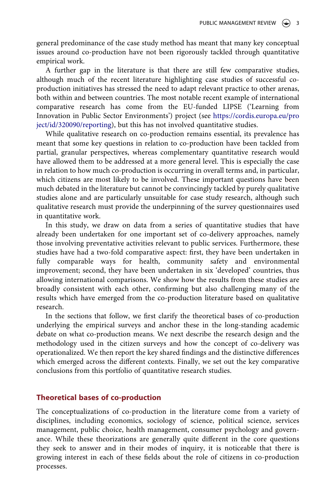general predominance of the case study method has meant that many key conceptual issues around co-production have not been rigorously tackled through quantitative empirical work.

A further gap in the literature is that there are still few comparative studies, although much of the recent literature highlighting case studies of successful coproduction initiatives has stressed the need to adapt relevant practice to other arenas, both within and between countries. The most notable recent example of international comparative research has come from the EU-funded LIPSE ('Learning from Innovation in Public Sector Environments') project (see [https://cordis.europa.eu/pro](https://cordis.europa.eu/project/id/320090/reporting) [ject/id/320090/reporting\)](https://cordis.europa.eu/project/id/320090/reporting), but this has not involved quantitative studies.

While qualitative research on co-production remains essential, its prevalence has meant that some key questions in relation to co-production have been tackled from partial, granular perspectives, whereas complementary quantitative research would have allowed them to be addressed at a more general level. This is especially the case in relation to how much co-production is occurring in overall terms and, in particular, which citizens are most likely to be involved. These important questions have been much debated in the literature but cannot be convincingly tackled by purely qualitative studies alone and are particularly unsuitable for case study research, although such qualitative research must provide the underpinning of the survey questionnaires used in quantitative work.

In this study, we draw on data from a series of quantitative studies that have already been undertaken for one important set of co-delivery approaches, namely those involving preventative activities relevant to public services. Furthermore, these studies have had a two-fold comparative aspect: first, they have been undertaken in fully comparable ways for health, community safety and environmental improvement; second, they have been undertaken in six 'developed' countries, thus allowing international comparisons. We show how the results from these studies are broadly consistent with each other, confirming but also challenging many of the results which have emerged from the co-production literature based on qualitative research.

In the sections that follow, we first clarify the theoretical bases of co-production underlying the empirical surveys and anchor these in the long-standing academic debate on what co-production means. We next describe the research design and the methodology used in the citizen surveys and how the concept of co-delivery was operationalized. We then report the key shared findings and the distinctive differences which emerged across the different contexts. Finally, we set out the key comparative conclusions from this portfolio of quantitative research studies.

## **Theoretical bases of co-production**

The conceptualizations of co-production in the literature come from a variety of disciplines, including economics, sociology of science, political science, services management, public choice, health management, consumer psychology and governance. While these theorizations are generally quite different in the core questions they seek to answer and in their modes of inquiry, it is noticeable that there is growing interest in each of these fields about the role of citizens in co-production processes.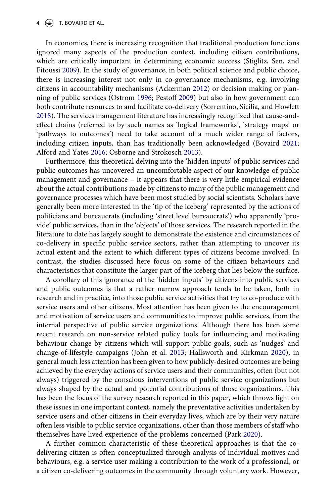<span id="page-3-7"></span><span id="page-3-4"></span><span id="page-3-0"></span>In economics, there is increasing recognition that traditional production functions ignored many aspects of the production context, including citizen contributions, which are critically important in determining economic success (Stiglitz, Sen, and Fitoussi [2009](#page-21-10)). In the study of governance, in both political science and public choice, there is increasing interest not only in co-governance mechanisms, e.g. involving citizens in accountability mechanisms (Ackerman [2012](#page-19-5)) or decision making or planning of public services (Ostrom [1996;](#page-21-11) Pestoff [2009\)](#page-21-12) but also in how government can both contribute resources to and facilitate co-delivery (Sorrentino, Sicilia, and Howlett [2018](#page-21-13)). The services management literature has increasingly recognized that cause-andeffect chains (referred to by such names as 'logical frameworks', 'strategy maps' or 'pathways to outcomes') need to take account of a much wider range of factors, including citizen inputs, than has traditionally been acknowledged (Bovaird [2021;](#page-19-6) Alford and Yates [2016;](#page-19-3) Osborne and Strokosch [2013](#page-21-14)).

<span id="page-3-6"></span><span id="page-3-3"></span><span id="page-3-1"></span>Furthermore, this theoretical delving into the 'hidden inputs' of public services and public outcomes has uncovered an uncomfortable aspect of our knowledge of public management and governance – it appears that there is very little empirical evidence about the actual contributions made by citizens to many of the public management and governance processes which have been most studied by social scientists. Scholars have generally been more interested in the 'tip of the iceberg' represented by the actions of politicians and bureaucrats (including 'street level bureaucrats') who apparently 'provide' public services, than in the 'objects' of those services. The research reported in the literature to date has largely sought to demonstrate the existence and circumstances of co-delivery in specific public service sectors, rather than attempting to uncover its actual extent and the extent to which different types of citizens become involved. In contrast, the studies discussed here focus on some of the citizen behaviours and characteristics that constitute the larger part of the iceberg that lies below the surface.

<span id="page-3-2"></span>A corollary of this ignorance of the 'hidden inputs' by citizens into public services and public outcomes is that a rather narrow approach tends to be taken, both in research and in practice, into those public service activities that try to co-produce with service users and other citizens. Most attention has been given to the encouragement and motivation of service users and communities to improve public services, from the internal perspective of public service organizations. Although there has been some recent research on non-service related policy tools for influencing and motivating behaviour change by citizens which will support public goals, such as 'nudges' and change-of-lifestyle campaigns (John et al. [2013](#page-20-12); Hallsworth and Kirkman [2020](#page-20-13)), in general much less attention has been given to how publicly-desired outcomes are being achieved by the everyday actions of service users and their communities, often (but not always) triggered by the conscious interventions of public service organizations but always shaped by the actual and potential contributions of those organizations. This has been the focus of the survey research reported in this paper, which throws light on these issues in one important context, namely the preventative activities undertaken by service users and other citizens in their everyday lives, which are by their very nature often less visible to public service organizations, other than those members of staff who themselves have lived experience of the problems concerned (Park [2020\)](#page-21-15).

<span id="page-3-5"></span>A further common characteristic of these theoretical approaches is that the codelivering citizen is often conceptualized through analysis of individual motives and behaviours, e.g. a service user making a contribution to the work of a professional, or a citizen co-delivering outcomes in the community through voluntary work. However,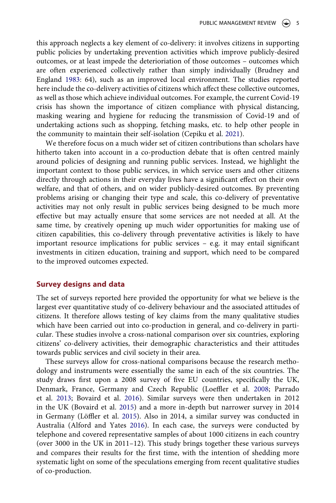<span id="page-4-3"></span>this approach neglects a key element of co-delivery: it involves citizens in supporting public policies by undertaking prevention activities which improve publicly-desired outcomes, or at least impede the deterioriation of those outcomes – outcomes which are often experienced collectively rather than simply individually (Brudney and England [1983](#page-20-14): 64), such as an improved local environment. The studies reported here include the co-delivery activities of citizens which affect these collective outcomes, as well as those which achieve individual outcomes. For example, the current Covid-19 crisis has shown the importance of citizen compliance with physical distancing, masking wearing and hygiene for reducing the transmission of Covid-19 and of undertaking actions such as shopping, fetching masks, etc. to help other people in the community to maintain their self-isolation (Cepiku et al. [2021](#page-20-7)).

We therefore focus on a much wider set of citizen contributions than scholars have hitherto taken into account in a co-production debate that is often centred mainly around policies of designing and running public services. Instead, we highlight the important context to those public services, in which service users and other citizens directly through actions in their everyday lives have a significant effect on their own welfare, and that of others, and on wider publicly-desired outcomes. By preventing problems arising or changing their type and scale, this co-delivery of preventative activities may not only result in public services being designed to be much more effective but may actually ensure that some services are not needed at all. At the same time, by creatively opening up much wider opportunities for making use of citizen capabilities, this co-delivery through preventative activities is likely to have important resource implications for public services – e.g. it may entail significant investments in citizen education, training and support, which need to be compared to the improved outcomes expected.

#### **Survey designs and data**

The set of surveys reported here provided the opportunity for what we believe is the largest ever quantitative study of co-delivery behaviour and the associated attitudes of citizens. It therefore allows testing of key claims from the many qualitative studies which have been carried out into co-production in general, and co-delivery in particular. These studies involve a cross-national comparison over six countries, exploring citizens' co-delivery activities, their demographic characteristics and their attitudes towards public services and civil society in their area.

<span id="page-4-5"></span><span id="page-4-4"></span><span id="page-4-2"></span><span id="page-4-1"></span><span id="page-4-0"></span>These surveys allow for cross-national comparisons because the research methodology and instruments were essentially the same in each of the six countries. The study draws first upon a 2008 survey of five EU countries, specifically the UK, Denmark, France, Germany and Czech Republic (Loeffler et al. [2008;](#page-20-15) Parrado et al. [2013;](#page-21-16) Bovaird et al. [2016](#page-20-16)). Similar surveys were then undertaken in 2012 in the UK (Bovaird et al. [2015\)](#page-20-17) and a more in-depth but narrower survey in 2014 in Germany (Löffler et al. [2015](#page-21-17)). Also in 2014, a similar survey was conducted in Australia (Alford and Yates [2016\)](#page-19-7). In each case, the surveys were conducted by telephone and covered representative samples of about 1000 citizens in each country (over 3000 in the UK in 2011–12). This study brings together these various surveys and compares their results for the first time, with the intention of shedding more systematic light on some of the speculations emerging from recent qualitative studies of co-production.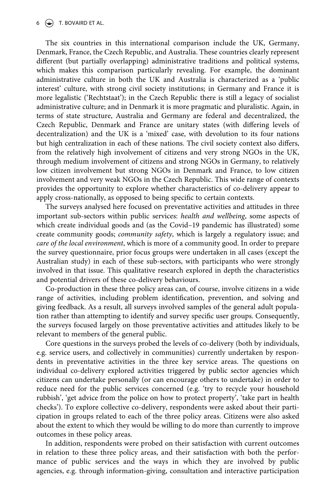The six countries in this international comparison include the UK, Germany, Denmark, France, the Czech Republic, and Australia. These countries clearly represent different (but partially overlapping) administrative traditions and political systems, which makes this comparison particularly revealing. For example, the dominant administrative culture in both the UK and Australia is characterized as a 'public interest' culture, with strong civil society institutions; in Germany and France it is more legalistic ('Rechtstaat'); in the Czech Republic there is still a legacy of socialist administrative culture; and in Denmark it is more pragmatic and pluralistic. Again, in terms of state structure, Australia and Germany are federal and decentralized, the Czech Republic, Denmark and France are unitary states (with differing levels of decentralization) and the UK is a 'mixed' case, with devolution to its four nations but high centralization in each of these nations. The civil society context also differs, from the relatively high involvement of citizens and very strong NGOs in the UK, through medium involvement of citizens and strong NGOs in Germany, to relatively low citizen involvement but strong NGOs in Denmark and France, to low citizen involvement and very weak NGOs in the Czech Republic. This wide range of contexts provides the opportunity to explore whether characteristics of co-delivery appear to apply cross-nationally, as opposed to being specific to certain contexts.

The surveys analysed here focused on preventative activities and attitudes in three important sub-sectors within public services: *health and wellbeing*, some aspects of which create individual goods and (as the Covid–19 pandemic has illustrated) some create community goods; *community safety*, which is largely a regulatory issue; and *care of the local environment*, which is more of a community good. In order to prepare the survey questionnaire, prior focus groups were undertaken in all cases (except the Australian study) in each of these sub-sectors, with participants who were strongly involved in that issue. This qualitative research explored in depth the characteristics and potential drivers of these co-delivery behaviours.

Co-production in these three policy areas can, of course, involve citizens in a wide range of activities, including problem identification, prevention, and solving and giving feedback. As a result, all surveys involved samples of the general adult population rather than attempting to identify and survey specific user groups. Consequently, the surveys focused largely on those preventative activities and attitudes likely to be relevant to members of the general public.

Core questions in the surveys probed the levels of co-delivery (both by individuals, e.g. service users, and collectively in communities) currently undertaken by respondents in preventative activities in the three key service areas. The questions on individual co-delivery explored activities triggered by public sector agencies which citizens can undertake personally (or can encourage others to undertake) in order to reduce need for the public services concerned (e.g. 'try to recycle your household rubbish', 'get advice from the police on how to protect property', 'take part in health checks'). To explore collective co-delivery, respondents were asked about their participation in groups related to each of the three policy areas. Citizens were also asked about the extent to which they would be willing to do more than currently to improve outcomes in these policy areas.

In addition, respondents were probed on their satisfaction with current outcomes in relation to these three policy areas, and their satisfaction with both the performance of public services and the ways in which they are involved by public agencies, e.g. through information-giving, consultation and interactive participation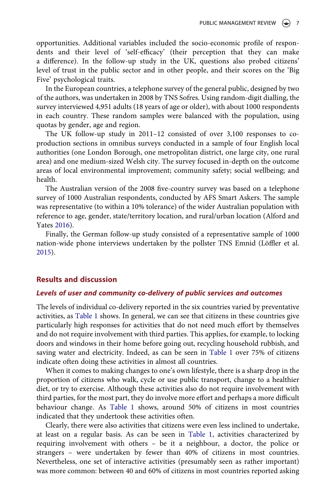opportunities. Additional variables included the socio-economic profile of respondents and their level of 'self-efficacy' (their perception that they can make a difference). In the follow-up study in the UK, questions also probed citizens' level of trust in the public sector and in other people, and their scores on the 'Big Five' psychological traits.

In the European countries, a telephone survey of the general public, designed by two of the authors, was undertaken in 2008 by TNS Sofres. Using random-digit dialling, the survey interviewed 4,951 adults (18 years of age or older), with about 1000 respondents in each country. These random samples were balanced with the population, using quotas by gender, age and region.

The UK follow-up study in 2011–12 consisted of over 3,100 responses to coproduction sections in omnibus surveys conducted in a sample of four English local authorities (one London Borough, one metropolitan district, one large city, one rural area) and one medium-sized Welsh city. The survey focused in-depth on the outcome areas of local environmental improvement; community safety; social wellbeing; and health.

The Australian version of the 2008 five-country survey was based on a telephone survey of 1000 Australian respondents, conducted by AFS Smart Askers. The sample was representative (to within a 10% tolerance) of the wider Australian population with reference to age, gender, state/territory location, and rural/urban location (Alford and Yates [2016\)](#page-19-7).

Finally, the German follow-up study consisted of a representative sample of 1000 nation-wide phone interviews undertaken by the pollster TNS Emnid (Löffler et al. [2015](#page-21-17)).

### **Results and discussion**

### *Levels of user and community co-delivery of public services and outcomes*

The levels of individual co-delivery reported in the six countries varied by preventative activities, as [Table 1](#page-7-0) shows. In general, we can see that citizens in these countries give particularly high responses for activities that do not need much effort by themselves and do not require involvement with third parties. This applies, for example, to locking doors and windows in their home before going out, recycling household rubbish, and saving water and electricity. Indeed, as can be seen in [Table 1](#page-7-0) over 75% of citizens indicate often doing these activities in almost all countries.

When it comes to making changes to one's own lifestyle, there is a sharp drop in the proportion of citizens who walk, cycle or use public transport, change to a healthier diet, or try to exercise. Although these activities also do not require involvement with third parties, for the most part, they do involve more effort and perhaps a more difficult behaviour change. As [Table 1](#page-7-0) shows, around 50% of citizens in most countries indicated that they undertook these activities often.

Clearly, there were also activities that citizens were even less inclined to undertake, at least on a regular basis. As can be seen in [Table 1,](#page-7-0) activities characterized by requiring involvement with others – be it a neighbour, a doctor, the police or strangers – were undertaken by fewer than 40% of citizens in most countries. Nevertheless, one set of interactive activities (presumably seen as rather important) was more common: between 40 and 60% of citizens in most countries reported asking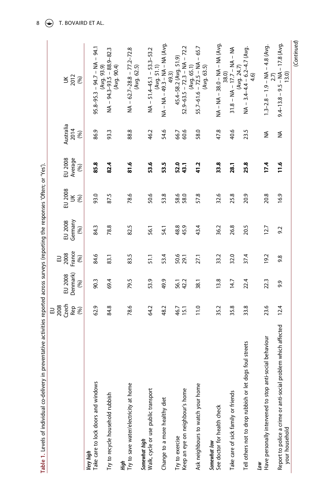<span id="page-7-0"></span>

| in preventative activities reported across surveys (reporting the responses 'Often; or 'Yes').<br>Table 1. Levels of individual co-delivery | Czech<br>2008<br>Rep<br>(%)<br>긊 | Denmark)<br>EU 2008<br>(%) | France<br>2008<br>(96) | Germany<br>EU 2008<br>(%) | EU 2008<br>$\leq \frac{1}{2}$ | EU 2008<br>Average<br>(96) | Australia<br>2014<br>(96) | $302$<br>$(8)$                                                 |
|---------------------------------------------------------------------------------------------------------------------------------------------|----------------------------------|----------------------------|------------------------|---------------------------|-------------------------------|----------------------------|---------------------------|----------------------------------------------------------------|
| Take care to lock doors and windows<br>Very high                                                                                            | 62.9                             | 90.3                       | 84.6                   | 84.3                      | 93.0                          | 85.8                       | 86.9                      | $95.8 - 95.3 - 94.7 - NA - 94.1$                               |
| Try to recycle household rubbish                                                                                                            | 84.8                             | 69.4                       | 83.1                   | 78.8                      | 87.5                          | 82.4                       | 93.3                      | $NA - 94.3 - 93.5 - 88.9 - 82.3$<br>(Avg. 90.4)<br>(Avg. 93.9) |
| Try to save water/electricity at home<br>High                                                                                               | 78.6                             | 79.5                       | 83.5                   | 82.5                      | 78.6                          | $\frac{81.6}{5}$           | 88.8                      | $NA - 62.7 - 28.8 - 77.2 - 72.8$<br>(Avg. 62.5)                |
| Walk, cycle or use public transport<br>Somewhat high                                                                                        | 64.2                             | 53.9                       | 51.1                   | 56.1                      | 50.6                          | 53.6                       | 46.2                      | $NA - 51.4 - 45.1 - 53.3 - 53.2$                               |
| Change to a more healthy diet                                                                                                               | 48.2                             | 49.9                       | 53.4                   | 54.1                      | 53.8                          | 53.5                       | 54.6                      | NA - NA - 49.3 - NA - NA (Avg.<br>(Avg. 51.1)<br>49.3)         |
| Keep an eye on neighbour's home<br>Try to exercise                                                                                          | 46.7<br>15.1                     | 56.1<br>42.2               | 50.6                   | 48.9<br>45.9              | 58.0<br>58.0                  | 52.0<br>43.1               | 60.6<br>66.7              | $52.9 - 63.5 - 72.3 - NA - 72.2$<br>45.4-58.2 (Avg. 51.9)      |
| Ask neighbours to watch your home                                                                                                           | 11.0                             | 38.1                       | 27.1                   | 43.4                      | 57.8                          | 41.2                       | 58.0                      | $55.7 - 61.6 - 72.5 - NA - 65.7$<br>(Avg. 65.1)<br>(Avg. 63.5) |
| See doctor for health check<br>Somewhat low                                                                                                 | 35.2                             | 13.8                       | 33.2                   | 36.2                      | 32.6                          | 33.8                       | 47.8                      | NA - NA - NA - NA (Avg.                                        |
| Take care of sick family or friends                                                                                                         | 35.8                             | 14.7                       | 32.0                   | 26.8                      | 25.8                          | 28.1                       | 40.6                      | $31.8 - NA - 17.7 - NA - NA$<br>38.0)                          |
| Tell others not to drop rubbish or let dogs foul streets                                                                                    | 33.8                             | 22.4                       | 37.4                   | 20.5                      | 20.9                          | 25.8                       | 23.5                      | $NA - 3.4 - 4.4 - 6.2 - 4.7$ (Avg.<br>(Avg. 24.7)<br>4.6)      |
| Have personally intervened to stop anti-social behaviour<br>Low                                                                             | 23.6                             | 22.3                       | 19.2                   | 12.7                      | 20.8                          | 17.4                       | ₹                         | $1.3 - 2.8 - 1.9 - NA - 4.8$ (Avg.<br>2.7)                     |
| Report to police a crime or anti-social problem which affected<br>your household                                                            | 12.4                             | 9.9                        | 9.8                    | 9.2                       | 16.9                          | $\frac{16}{1}$             | ≨                         | $9.4 - 13.8 - 9.5 - NA - 17.8 (Avg)$<br>13.0                   |
|                                                                                                                                             |                                  |                            |                        |                           |                               |                            |                           | (Continued)                                                    |

 $8 \quad \circledast$  T. BOVAIRD ET AL.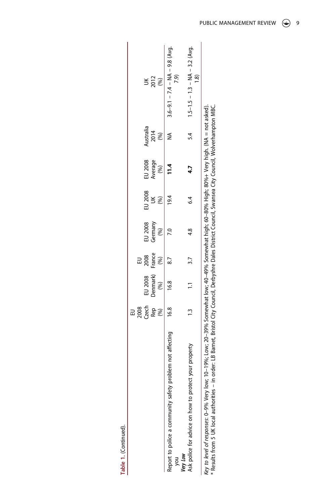|                                                                                                                                                                                                                                                                                                                      | 2008  |          |        |               |         |         |           |                                            |
|----------------------------------------------------------------------------------------------------------------------------------------------------------------------------------------------------------------------------------------------------------------------------------------------------------------------|-------|----------|--------|---------------|---------|---------|-----------|--------------------------------------------|
|                                                                                                                                                                                                                                                                                                                      | Czech | EU 2008  | 2008   | EU 2008       | EU 2008 | EU 2008 | kustralia |                                            |
|                                                                                                                                                                                                                                                                                                                      | Rep   | Denmark) | France | Germany       | š       | Average | 2014      |                                            |
|                                                                                                                                                                                                                                                                                                                      |       | $(\%)$   | (%)    |               |         |         | (96)      | 2012                                       |
| Report to police a community safety problem not affecting<br>you                                                                                                                                                                                                                                                     | 16.8  | 16.8     |        |               |         | 11.4    |           | $3.6 - 9.1 - 7.4 - NA - 9.8 (Avg)$         |
| Very Low                                                                                                                                                                                                                                                                                                             |       |          |        |               |         |         |           |                                            |
| Ask police for advice on how to protect your property                                                                                                                                                                                                                                                                |       |          |        | $\frac{8}{4}$ | 64      |         |           | $5.4$ 1.5-1.5 - 1.3 - NA - 3.2 (Avg.<br>කු |
| Key to level of responses: 0–9% Very low; 10–19%; Low; 20–39% Somewhat low; 40–49% Somewhat high; 60–80% High; 80%+ Very high. (NA = not asked).<br>order: LB Barnet, Bristol City Council, Derbyshre Dales District Council, Swansea City Council, Wolverhampton MBC.<br>* Results from 5 UK local authorities - ii |       |          |        |               |         |         |           |                                            |

**Table 1.** (Continued).

Table 1. (Continued).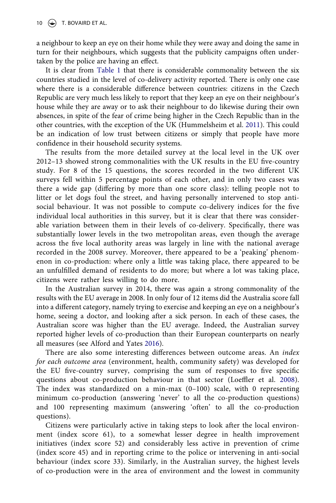a neighbour to keep an eye on their home while they were away and doing the same in turn for their neighbours, which suggests that the publicity campaigns often undertaken by the police are having an effect.

It is clear from [Table 1](#page-7-0) that there is considerable commonality between the six countries studied in the level of co-delivery activity reported. There is only one case where there is a considerable difference between countries: citizens in the Czech Republic are very much less likely to report that they keep an eye on their neighbour's house while they are away or to ask their neighbour to do likewise during their own absences, in spite of the fear of crime being higher in the Czech Republic than in the other countries, with the exception of the UK (Hummelsheim et al. [2011\)](#page-20-18). This could be an indication of low trust between citizens or simply that people have more confidence in their household security systems.

<span id="page-9-0"></span>The results from the more detailed survey at the local level in the UK over 2012–13 showed strong commonalities with the UK results in the EU five-country study. For 8 of the 15 questions, the scores recorded in the two different UK surveys fell within 5 percentage points of each other, and in only two cases was there a wide gap (differing by more than one score class): telling people not to litter or let dogs foul the street, and having personally intervened to stop antisocial behaviour. It was not possible to compute co-delivery indices for the five individual local authorities in this survey, but it is clear that there was considerable variation between them in their levels of co-delivery. Specifically, there was substantially lower levels in the two metropolitan areas, even though the average across the five local authority areas was largely in line with the national average recorded in the 2008 survey. Moreover, there appeared to be a 'peaking' phenomenon in co-production: where only a little was taking place, there appeared to be an unfulfilled demand of residents to do more; but where a lot was taking place, citizens were rather less willing to do more.

In the Australian survey in 2014, there was again a strong commonality of the results with the EU average in 2008. In only four of 12 items did the Australia score fall into a different category, namely trying to exercise and keeping an eye on a neighbour's home, seeing a doctor, and looking after a sick person. In each of these cases, the Australian score was higher than the EU average. Indeed, the Australian survey reported higher levels of co-production than their European counterparts on nearly all measures (see Alford and Yates [2016\)](#page-19-7).

There are also some interesting differences between outcome areas. An *index for each outcome area* (environment, health, community safety) was developed for the EU five-country survey, comprising the sum of responses to five specific questions about co-production behaviour in that sector (Loeffler et al. [2008](#page-20-15)). The index was standardized on a min-max  $(0-100)$  scale, with 0 representing minimum co-production (answering 'never' to all the co-production questions) and 100 representing maximum (answering 'often' to all the co-production questions).

Citizens were particularly active in taking steps to look after the local environment (index score 61), to a somewhat lesser degree in health improvement initiatives (index score 52) and considerably less active in prevention of crime (index score 45) and in reporting crime to the police or intervening in anti-social behaviour (index score 33). Similarly, in the Australian survey, the highest levels of co-production were in the area of environment and the lowest in community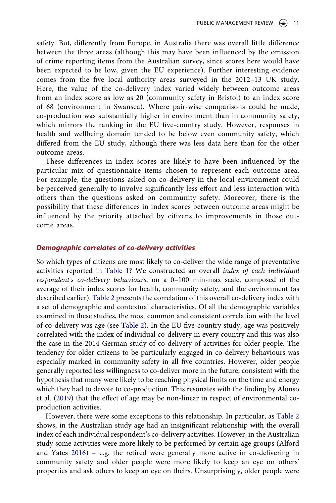safety. But, differently from Europe, in Australia there was overall little difference between the three areas (although this may have been influenced by the omission of crime reporting items from the Australian survey, since scores here would have been expected to be low, given the EU experience). Further interesting evidence comes from the five local authority areas surveyed in the 2012–13 UK study. Here, the value of the co-delivery index varied widely between outcome areas from an index score as low as 20 (community safety in Bristol) to an index score of 68 (environment in Swansea). Where pair-wise comparisons could be made, co-production was substantially higher in environment than in community safety, which mirrors the ranking in the EU five-country study. However, responses in health and wellbeing domain tended to be below even community safety, which differed from the EU study, although there was less data here than for the other outcome areas.

These differences in index scores are likely to have been influenced by the particular mix of questionnaire items chosen to represent each outcome area. For example, the questions asked on co-delivery in the local environment could be perceived generally to involve significantly less effort and less interaction with others than the questions asked on community safety. Moreover, there is the possibility that these differences in index scores between outcome areas might be influenced by the priority attached by citizens to improvements in those outcome areas.

### *Demographic correlates of co-delivery activities*

So which types of citizens are most likely to co-deliver the wide range of preventative activities reported in [Table 1](#page-7-0)? We constructed an overall *index of each individual respondent's co-delivery behaviours*, on a 0–100 min-max scale, composed of the average of their index scores for health, community safety, and the environment (as described earlier). [Table 2](#page-11-0) presents the correlation of this overall co-delivery index with a set of demographic and contextual characteristics. Of all the demographic variables examined in these studies, the most common and consistent correlation with the level of co-delivery was age (see [Table 2\)](#page-11-0). In the EU five-country study, age was positively correlated with the index of individual co-delivery in every country and this was also the case in the 2014 German study of co-delivery of activities for older people. The tendency for older citizens to be particularly engaged in co-delivery behaviours was especially marked in community safety in all five countries. However, older people generally reported less willingness to co-deliver more in the future, consistent with the hypothesis that many were likely to be reaching physical limits on the time and energy which they had to devote to co-production. This resonates with the finding by Alonso et al. [\(2019](#page-19-8)) that the effect of age may be non-linear in respect of environmental coproduction activities.

<span id="page-10-0"></span>However, there were some exceptions to this relationship. In particular, as [Table 2](#page-11-0) shows, in the Australian study age had an insignificant relationship with the overall index of each individual respondent's co-delivery activities. However, in the Australian study some activities were more likely to be performed by certain age groups (Alford and Yates [2016](#page-19-7)) – e.g. the retired were generally more active in co-delivering in community safety and older people were more likely to keep an eye on others' properties and ask others to keep an eye on theirs. Unsurprisingly, older people were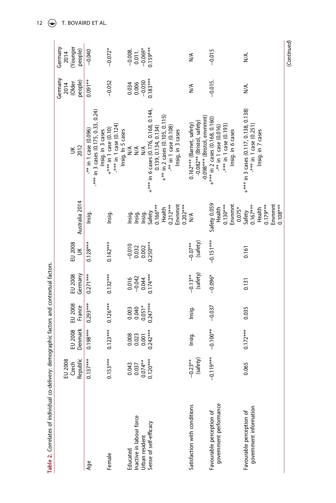<span id="page-11-0"></span>

| Table 2. Correlates of individual co-delivery: demographic factors and contextual factors. |             |            |                                   |                               |                                |                            |                                                            |                                       |                                                |
|--------------------------------------------------------------------------------------------|-------------|------------|-----------------------------------|-------------------------------|--------------------------------|----------------------------|------------------------------------------------------------|---------------------------------------|------------------------------------------------|
|                                                                                            | EU 2008     |            |                                   |                               |                                |                            |                                                            | Germany<br>2014                       | Germany<br>2014                                |
|                                                                                            | Czech       | EU 2008    | EU 2008                           | EU 2008                       | EU 2008                        |                            | š                                                          | (Older                                | (Younger                                       |
|                                                                                            | Republic    | Denmark    | France                            |                               | $\leq$                         | Australia 2014             | 2012                                                       | people                                | people)                                        |
| Age                                                                                        | $0.137***$  | $0.198***$ | $0.293***$                        | $0.271***$                    | $0.128***$                     | Insig.                     | $-**$ in 1 case (0.096)                                    | $0.091***$                            | $-0.040$                                       |
|                                                                                            |             |            |                                   |                               |                                |                            | $***$ in 3 cases (0.175, 0.33, 0.24)<br>Insig. in 3 cases  |                                       |                                                |
| Female                                                                                     | $0.153***$  | $0.123***$ | $0.126***$                        | $0.132***$                    | $0.142***$                     | Insig.                     | +*** in 1 case (0.10)                                      | $-0.052$                              | $-0.072*$                                      |
|                                                                                            |             |            |                                   |                               |                                |                            | $-***$ in 1 case (0.124)<br>Insig. In 5 cases              |                                       |                                                |
| Educated                                                                                   | 0.043       | 0.008      | 0.003                             | 0.016                         |                                | Insig.                     | N/A                                                        |                                       |                                                |
| Inactive in labour force                                                                   | 0.037       | 0.023      | $0.040$<br>$0.051*$<br>$0.247***$ | $-0.042$<br>0.044<br>0.174*** | $-0.010$<br>$0.032$<br>$0.002$ |                            | $\frac{4}{\sqrt{2}}$                                       | $0.034$<br>0.006<br>0.050<br>0.183*** | $-0.008$ .<br>0.011.<br>$-0.069^*$<br>0.159*** |
| Urban resident                                                                             | $0.074***$  | 0.001      |                                   |                               |                                |                            | $M^4$                                                      |                                       |                                                |
| Sense of self-efficacy                                                                     | $0.120***$  | $0.242***$ |                                   |                               | $0.250***$                     | Insig.<br>Insig.<br>Safety | $+***$ in 6 cases (0.176, 0.168, 0.144,                    |                                       |                                                |
|                                                                                            |             |            |                                   |                               |                                | $0.166***$                 | 0.139, 0.134, 0.134)                                       |                                       |                                                |
|                                                                                            |             |            |                                   |                               |                                | Health                     | $+$ ** in 2 cases (0.105, 0.115)                           |                                       |                                                |
|                                                                                            |             |            |                                   |                               |                                | $0.212***$                 | $-**$ in 1 case (0.108)                                    |                                       |                                                |
|                                                                                            |             |            |                                   |                               |                                | Envnmnt<br>$0.202***$      | Insig, in 3 cases                                          |                                       |                                                |
| Satisfaction with conditions                                                               | $-0.23**$   | Insig.     | Insig.                            | $-0.13**$                     | $-0.07**$                      | ≸                          | 0.162*** (Barnet, safety)                                  | ≸                                     | ⋚                                              |
|                                                                                            | (safety)    |            |                                   | (safety)                      | (safety)                       |                            | -0.098*** (Bristol, envnmnt)<br>-0.082** (Bristol, safety) |                                       |                                                |
| Favourable perception of                                                                   | $-0.119***$ | $-0.100**$ | $-0.037$                          | $-0.096*$                     | $-0.151***$                    | Safety 0.059               | $+***$ in 2 cases (0.168, 0.160)                           | $-0.015$ .                            | $-0.015$                                       |
| government performance                                                                     |             |            |                                   |                               |                                | Health                     | $**$ in 1 case (0.016)                                     |                                       |                                                |
|                                                                                            |             |            |                                   |                               |                                | $0.130***$                 | -*** in 1 case (0.193)                                     |                                       |                                                |
|                                                                                            |             |            |                                   |                               |                                | Envnmnt<br>$0.075*$        | Insig. in 6 cases                                          |                                       |                                                |
| Favourable perception of                                                                   | 0.065       | $0.172***$ | 0.035                             | 0.131                         | 0.161                          | Safety                     | $+***$ in 3 cases (0.117, 0.138, 0.138)                    | УÁ.                                   | УÁ.                                            |
| government information                                                                     |             |            |                                   |                               |                                | $0.167***$                 | $-***$ in 1 case (0.251)                                   |                                       |                                                |
|                                                                                            |             |            |                                   |                               |                                | $0.179***$<br>Health       | Insig. in 7 cases                                          |                                       |                                                |
|                                                                                            |             |            |                                   |                               |                                | Envnmnt                    |                                                            |                                       |                                                |
|                                                                                            |             |            |                                   |                               |                                | $0.108***$                 |                                                            |                                       |                                                |

12  $\bigodot$  T. BOVAIRD ET AL.

(Continued) (*Continued*)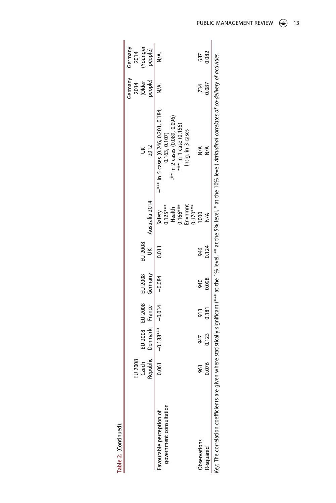|                                                     | Czech<br>Republic<br>EU 2008 | Denmark France<br>EU 2008 | EU 2008      | EU 2008<br>Germany | EU 2008<br>š | Australia 2014                                                      | 2012                                                                                                                                                                                          | Germany<br>people)<br>$2014$<br>(Older | Younger<br>people)<br>Germany<br>2014 |
|-----------------------------------------------------|------------------------------|---------------------------|--------------|--------------------|--------------|---------------------------------------------------------------------|-----------------------------------------------------------------------------------------------------------------------------------------------------------------------------------------------|----------------------------------------|---------------------------------------|
| government consultation<br>-avourable perception of | 0.061                        | $-0.188***$               | $-0.014$     | $-0.084$           | 0.011        | Safety<br>0.125***<br>invnmnt<br>$0.170***$<br>$0.166***$<br>Health | $+***$ in 5 cases (0.246, 0.201, 0.184,<br>-** in 2 cases (0.089, 0.096)<br>$***$ in 1 case (0.156)<br>Insig. in 3 cases<br>0.163, 0.107                                                      |                                        |                                       |
| <b>Oservations</b><br>R-squared                     | 0.076<br>561                 | 0.123<br>947              | 0.181<br>913 | 0.098<br>940       | 0.124<br>946 | 1000<br>$N^{\mathsf{A}}$                                            | $\frac{4}{\sqrt{2}}$<br>N/A                                                                                                                                                                   | 0.087<br>734                           | 0.082<br>687                          |
|                                                     |                              |                           |              |                    |              |                                                                     | Key. The correlation coefficients are given where statistically significant (*** at the 1% level, ** at the 5% level, * at the 10% level) Attitudinal correlates of co-delivery of activities |                                        |                                       |

| ۷      |  |
|--------|--|
| ı      |  |
| a<br>× |  |

PUBLIC MANAGEMENT REVIEW  $\circledast$  13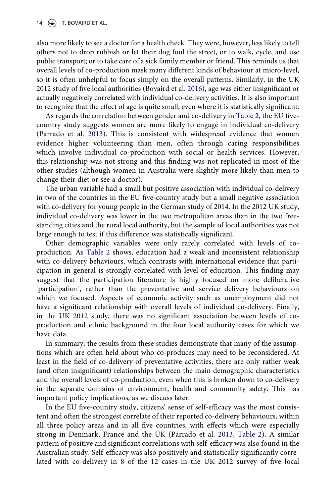also more likely to see a doctor for a health check. They were, however, less likely to tell others not to drop rubbish or let their dog foul the street, or to walk, cycle, and use public transport; or to take care of a sick family member or friend. This reminds us that overall levels of co-production mask many different kinds of behaviour at micro-level, so it is often unhelpful to focus simply on the overall patterns. Similarly, in the UK 2012 study of five local authorities (Bovaird et al. [2016](#page-20-16)), age was either insignificant or actually negatively correlated with individual co-delivery activities. It is also important to recognize that the effect of age is quite small, even where it is statistically significant.

As regards the correlation between gender and co-delivery in [Table 2,](#page-11-0) the EU fivecountry study suggests women are more likely to engage in individual co-delivery (Parrado et al. [2013\)](#page-21-16). This is consistent with widespread evidence that women evidence higher volunteering than men, often through caring responsibilities which involve individual co-production with social or health services. However, this relationship was not strong and this finding was not replicated in most of the other studies (although women in Australia were slightly more likely than men to change their diet or see a doctor).

The urban variable had a small but positive association with individual co-delivery in two of the countries in the EU five-country study but a small negative association with co-delivery for young people in the German study of 2014. In the 2012 UK study, individual co-delivery was lower in the two metropolitan areas than in the two freestanding cities and the rural local authority, but the sample of local authorities was not large enough to test if this difference was statistically significant.

Other demographic variables were only rarely correlated with levels of coproduction. As [Table 2](#page-11-0) shows, education had a weak and inconsistent relationship with co-delivery behaviours, which contrasts with international evidence that participation in general is strongly correlated with level of education. This finding may suggest that the participation literature is highly focused on more deliberative 'participation', rather than the preventative and service delivery behaviours on which we focused. Aspects of economic activity such as unemployment did not have a significant relationship with overall levels of individual co-delivery. Finally, in the UK 2012 study, there was no significant association between levels of coproduction and ethnic background in the four local authority cases for which we have data.

In summary, the results from these studies demonstrate that many of the assumptions which are often held about who co-produces may need to be reconsidered. At least in the field of co-delivery of preventative activities, there are only rather weak (and often insignificant) relationships between the main demographic characteristics and the overall levels of co-production, even when this is broken down to co-delivery in the separate domains of environment, health and community safety. This has important policy implications, as we discuss later.

In the EU five-country study, citizens' sense of self-efficacy was the most consistent and often the strongest correlate of their reported co-delivery behaviours, within all three policy areas and in all five countries, with effects which were especially strong in Denmark, France and the UK (Parrado et al. [2013,](#page-21-16) [Table 2\)](#page-11-0). A similar pattern of positive and significant correlations with self-efficacy was also found in the Australian study. Self-efficacy was also positively and statistically significantly correlated with co-delivery in 8 of the 12 cases in the UK 2012 survey of five local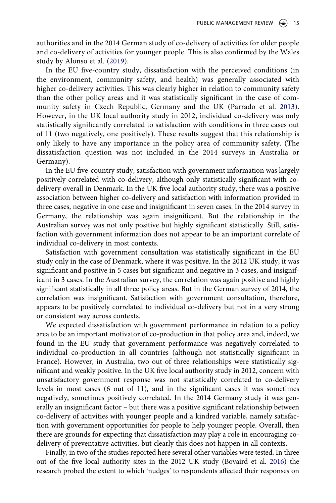authorities and in the 2014 German study of co-delivery of activities for older people and co-delivery of activities for younger people. This is also confirmed by the Wales study by Alonso et al. [\(2019\)](#page-19-8).

In the EU five-country study, dissatisfaction with the perceived conditions (in the environment, community safety, and health) was generally associated with higher co-delivery activities. This was clearly higher in relation to community safety than the other policy areas and it was statistically significant in the case of community safety in Czech Republic, Germany and the UK (Parrado et al. [2013](#page-21-16)). However, in the UK local authority study in 2012, individual co-delivery was only statistically significantly correlated to satisfaction with conditions in three cases out of 11 (two negatively, one positively). These results suggest that this relationship is only likely to have any importance in the policy area of community safety. (The dissatisfaction question was not included in the 2014 surveys in Australia or Germany).

In the EU five-country study, satisfaction with government information was largely positively correlated with co-delivery, although only statistically significant with codelivery overall in Denmark. In the UK five local authority study, there was a positive association between higher co-delivery and satisfaction with information provided in three cases, negative in one case and insignificant in seven cases. In the 2014 survey in Germany, the relationship was again insignificant. But the relationship in the Australian survey was not only positive but highly significant statistically. Still, satisfaction with government information does not appear to be an important correlate of individual co-delivery in most contexts.

Satisfaction with government consultation was statistically significant in the EU study only in the case of Denmark, where it was positive. In the 2012 UK study, it was significant and positive in 5 cases but significant and negative in 3 cases, and insignificant in 3 cases. In the Australian survey, the correlation was again positive and highly significant statistically in all three policy areas. But in the German survey of 2014, the correlation was insignificant. Satisfaction with government consultation, therefore, appears to be positively correlated to individual co-delivery but not in a very strong or consistent way across contexts.

We expected dissatisfaction with government performance in relation to a policy area to be an important motivator of co-production in that policy area and, indeed, we found in the EU study that government performance was negatively correlated to individual co-production in all countries (although not statistically significant in France). However, in Australia, two out of three relationships were statistically significant and weakly positive. In the UK five local authority study in 2012, concern with unsatisfactory government response was not statistically correlated to co-delivery levels in most cases (6 out of 11), and in the significant cases it was sometimes negatively, sometimes positively correlated. In the 2014 Germany study it was generally an insignificant factor – but there was a positive significant relationship between co-delivery of activities with younger people and a kindred variable, namely satisfaction with government opportunities for people to help younger people. Overall, then there are grounds for expecting that dissatisfaction may play a role in encouraging codelivery of preventative activities, but clearly this does not happen in all contexts.

Finally, in two of the studies reported here several other variables were tested. In three out of the five local authority sites in the 2012 UK study (Bovaird et al. [2016](#page-20-16)) the research probed the extent to which 'nudges' to respondents affected their responses on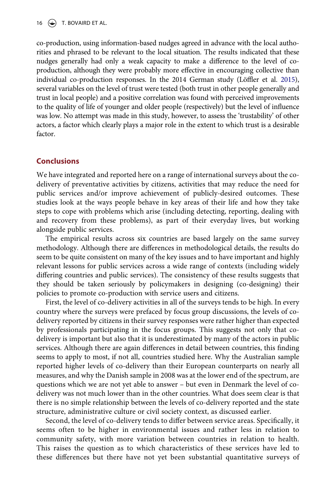co-production, using information-based nudges agreed in advance with the local authorities and phrased to be relevant to the local situation. The results indicated that these nudges generally had only a weak capacity to make a difference to the level of coproduction, although they were probably more effective in encouraging collective than individual co-production responses. In the 2014 German study (Löffler et al. [2015\)](#page-21-17), several variables on the level of trust were tested (both trust in other people generally and trust in local people) and a positive correlation was found with perceived improvements to the quality of life of younger and older people (respectively) but the level of influence was low. No attempt was made in this study, however, to assess the 'trustability' of other actors, a factor which clearly plays a major role in the extent to which trust is a desirable factor.

## **Conclusions**

We have integrated and reported here on a range of international surveys about the codelivery of preventative activities by citizens, activities that may reduce the need for public services and/or improve achievement of publicly-desired outcomes. These studies look at the ways people behave in key areas of their life and how they take steps to cope with problems which arise (including detecting, reporting, dealing with and recovery from these problems), as part of their everyday lives, but working alongside public services.

The empirical results across six countries are based largely on the same survey methodology. Although there are differences in methodological details, the results do seem to be quite consistent on many of the key issues and to have important and highly relevant lessons for public services across a wide range of contexts (including widely differing countries and public services). The consistency of these results suggests that they should be taken seriously by policymakers in designing (co-designing) their policies to promote co-production with service users and citizens.

First, the level of co-delivery activities in all of the surveys tends to be high. In every country where the surveys were prefaced by focus group discussions, the levels of codelivery reported by citizens in their survey responses were rather higher than expected by professionals participating in the focus groups. This suggests not only that codelivery is important but also that it is underestimated by many of the actors in public services. Although there are again differences in detail between countries, this finding seems to apply to most, if not all, countries studied here. Why the Australian sample reported higher levels of co-delivery than their European counterparts on nearly all measures, and why the Danish sample in 2008 was at the lower end of the spectrum, are questions which we are not yet able to answer – but even in Denmark the level of codelivery was not much lower than in the other countries. What does seem clear is that there is no simple relationship between the levels of co-delivery reported and the state structure, administrative culture or civil society context, as discussed earlier.

Second, the level of co-delivery tends to differ between service areas. Specifically, it seems often to be higher in environmental issues and rather less in relation to community safety, with more variation between countries in relation to health. This raises the question as to which characteristics of these services have led to these differences but there have not yet been substantial quantitative surveys of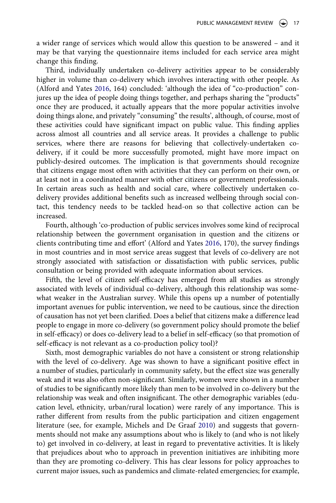a wider range of services which would allow this question to be answered – and it may be that varying the questionnaire items included for each service area might change this finding.

Third, individually undertaken co-delivery activities appear to be considerably higher in volume than co-delivery which involves interacting with other people. As (Alford and Yates [2016,](#page-19-7) 164) concluded: 'although the idea of "co-production" conjures up the idea of people doing things together, and perhaps sharing the "products" once they are produced, it actually appears that the more popular activities involve doing things alone, and privately "consuming" the results', although, of course, most of these activities could have significant impact on public value. This finding applies across almost all countries and all service areas. It provides a challenge to public services, where there are reasons for believing that collectively-undertaken codelivery, if it could be more successfully promoted, might have more impact on publicly-desired outcomes. The implication is that governments should recognize that citizens engage most often with activities that they can perform on their own, or at least not in a coordinated manner with other citizens or government professionals. In certain areas such as health and social care, where collectively undertaken codelivery provides additional benefits such as increased wellbeing through social contact, this tendency needs to be tackled head-on so that collective action can be increased.

Fourth, although 'co-production of public services involves some kind of reciprocal relationship between the government organisation in question and the citizens or clients contributing time and effort' (Alford and Yates [2016](#page-19-7), 170), the survey findings in most countries and in most service areas suggest that levels of co-delivery are not strongly associated with satisfaction or dissatisfaction with public services, public consultation or being provided with adequate information about services.

Fifth, the level of citizen self-efficacy has emerged from all studies as strongly associated with levels of individual co-delivery, although this relationship was somewhat weaker in the Australian survey. While this opens up a number of potentially important avenues for public intervention, we need to be cautious, since the direction of causation has not yet been clarified. Does a belief that citizens make a difference lead people to engage in more co-delivery (so government policy should promote the belief in self-efficacy) or does co-delivery lead to a belief in self-efficacy (so that promotion of self-efficacy is not relevant as a co-production policy tool)?

<span id="page-16-0"></span>Sixth, most demographic variables do not have a consistent or strong relationship with the level of co-delivery. Age was shown to have a significant positive effect in a number of studies, particularly in community safety, but the effect size was generally weak and it was also often non-significant. Similarly, women were shown in a number of studies to be significantly more likely than men to be involved in co-delivery but the relationship was weak and often insignificant. The other demographic variables (education level, ethnicity, urban/rural location) were rarely of any importance. This is rather different from results from the public participation and citizen engagement literature (see, for example, Michels and De Graaf [2010](#page-21-18)) and suggests that governments should not make any assumptions about who is likely to (and who is not likely to) get involved in co-delivery, at least in regard to preventative activities. It is likely that prejudices about who to approach in prevention initiatives are inhibiting more than they are promoting co-delivery. This has clear lessons for policy approaches to current major issues, such as pandemics and climate-related emergencies; for example,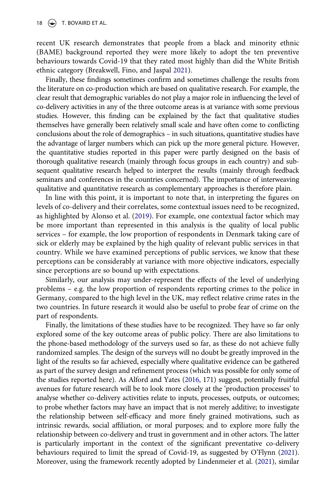recent UK research demonstrates that people from a black and minority ethnic (BAME) background reported they were more likely to adopt the ten preventive behaviours towards Covid-19 that they rated most highly than did the White British ethnic category (Breakwell, Fino, and Jaspal [2021\)](#page-20-19).

<span id="page-17-0"></span>Finally, these findings sometimes confirm and sometimes challenge the results from the literature on co-production which are based on qualitative research. For example, the clear result that demographic variables do not play a major role in influencing the level of co-delivery activities in any of the three outcome areas is at variance with some previous studies. However, this finding can be explained by the fact that qualitative studies themselves have generally been relatively small scale and have often come to conflicting conclusions about the role of demographics – in such situations, quantitative studies have the advantage of larger numbers which can pick up the more general picture. However, the quantitative studies reported in this paper were partly designed on the basis of thorough qualitative research (mainly through focus groups in each country) and subsequent qualitative research helped to interpret the results (mainly through feedback seminars and conferences in the countries concerned). The importance of interweaving qualitative and quantitative research as complementary approaches is therefore plain.

In line with this point, it is important to note that, in interpreting the figures on levels of co-delivery and their correlates, some contextual issues need to be recognized, as highlighted by Alonso et al. [\(2019\)](#page-19-8). For example, one contextual factor which may be more important than represented in this analysis is the quality of local public services – for example, the low proportion of respondents in Denmark taking care of sick or elderly may be explained by the high quality of relevant public services in that country. While we have examined perceptions of public services, we know that these perceptions can be considerably at variance with more objective indicators, especially since perceptions are so bound up with expectations.

Similarly, our analysis may under-represent the effects of the level of underlying problems – e.g. the low proportion of respondents reporting crimes to the police in Germany, compared to the high level in the UK, may reflect relative crime rates in the two countries. In future research it would also be useful to probe fear of crime on the part of respondents.

<span id="page-17-2"></span><span id="page-17-1"></span>Finally, the limitations of these studies have to be recognized. They have so far only explored some of the key outcome areas of public policy. There are also limitations to the phone-based methodology of the surveys used so far, as these do not achieve fully randomized samples. The design of the surveys will no doubt be greatly improved in the light of the results so far achieved, especially where qualitative evidence can be gathered as part of the survey design and refinement process (which was possible for only some of the studies reported here). As Alford and Yates [\(2016](#page-19-7), 171) suggest, potentially fruitful avenues for future research will be to look more closely at the 'production processes' to analyse whether co-delivery activities relate to inputs, processes, outputs, or outcomes; to probe whether factors may have an impact that is not merely additive; to investigate the relationship between self-efficacy and more finely grained motivations, such as intrinsic rewards, social affiliation, or moral purposes; and to explore more fully the relationship between co-delivery and trust in government and in other actors. The latter is particularly important in the context of the significant preventative co-delivery behaviours required to limit the spread of Covid-19, as suggested by O'Flynn ([2021\)](#page-21-19). Moreover, using the framework recently adopted by Lindenmeier et al. ([2021](#page-20-20)), similar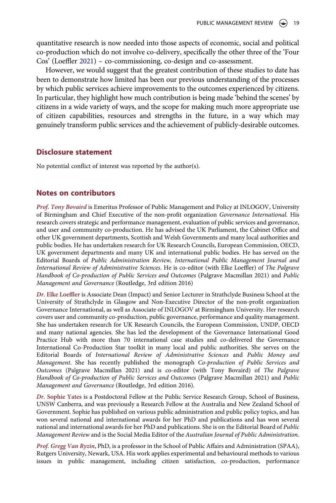quantitative research is now needed into those aspects of economic, social and political co-production which do not involve co-delivery, specifically the other three of the 'Four Cos' (Loeffler [2021\)](#page-20-4) – co-commissioning, co-design and co-assessment.

However, we would suggest that the greatest contribution of these studies to date has been to demonstrate how limited has been our previous understanding of the processes by which public services achieve improvements to the outcomes experienced by citizens. In particular, they highlight how much contribution is being made 'behind the scenes' by citizens in a wide variety of ways, and the scope for making much more appropriate use of citizen capabilities, resources and strengths in the future, in a way which may genuinely transform public services and the achievement of publicly-desirable outcomes.

## **Disclosure statement**

No potential conflict of interest was reported by the author(s).

#### **Notes on contributors**

*Prof. Tony Bovaird* is Emeritus Professor of Public Management and Policy at INLOGOV, University of Birmingham and Chief Executive of the non-profit organization *Governance International*. His research covers strategic and performance management, evaluation of public services and governance, and user and community co-production. He has advised the UK Parliament, the Cabinet Office and other UK government departments, Scottish and Welsh Governments and many local authorities and public bodies. He has undertaken research for UK Research Councils, European Commission, OECD, UK government departments and many UK and international public bodies. He has served on the Editorial Boards of *Public Administration Review, International Public Management Journal and International Review of Administrative Sciences*. He is co-editor (with Elke Loeffler) of *The Palgrave Handbook of Co-production of Public Services and Outcomes* (Palgrave Macmillan 2021) and *Public Management and Governance* (Routledge, 3rd edition 2016)

*Dr.* **Elke Loeffler** is Associate Dean (Impact) and Senior Lecturer in Strathclyde Business School at the University of Strathclyde in Glasgow and Non-Executive Director of the non-profit organization Governance International, as well as Associate of INLOGOV at Birmingham University. Her research covers user and community co-production, public governance, performance and quality management. She has undertaken research for UK Research Councils, the European Commission, UNDP, OECD and many national agencies. She has led the development of the Governance International Good Practice Hub with more than 70 international case studies and co-delivered the Governance International Co-Production Star toolkit in many local and public authorities. She serves on the Editorial Boards of *International Review of Administrative Sciences* and *Public Money and Management*. She has recently published the monograph *Co-production of Public Services and Outcomes* (Palgrave Macmillan 2021) and is co-editor (with Tony Bovaird) of *The Palgrave Handbook of Co-production of Public Services and Outcomes* (Palgrave Macmillan 2021) and *Public Management and Governance* (Routledge, 3rd edition 2016).

*Dr.* **Sophie Yates** is a Postdoctoral Fellow at the Public Service Research Group, School of Business, UNSW Canberra, and was previously a Research Fellow at the Australia and New Zealand School of Government. Sophie has published on various public administration and public policy topics, and has won several national and international awards for her PhD and publications and has won several national and international awards for her PhD and publications. She is on the Editorial Board of *Public Management Review* and is the Social Media Editor of the *Australian Journal of Public Administration*.

*Prof. Gregg Van Ryzin*, PhD, is a professor in the School of Public Affairs and Administration (SPAA), Rutgers University, Newark, USA. His work applies experimental and behavioural methods to various issues in public management, including citizen satisfaction, co-production, performance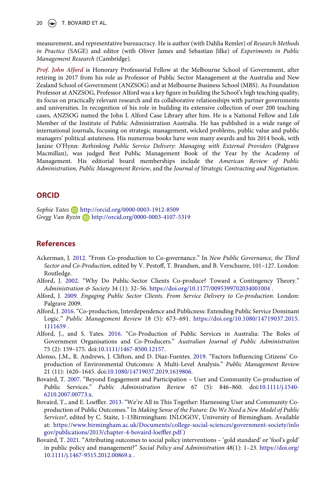20  $\left(\rightarrow\right)$  T. BOVAIRD ET AL.

measurement, and representative bureaucracy. He is author (with Dahlia Remler) of *Research Methods in Practice* (SAGE) and editor (with Oliver James and Sebastian Jilke) of *Experiments in Public Management Research* (Cambridge).

*Prof. John Alford* is Honorary Professorial Fellow at the Melbourne School of Government, after retiring in 2017 from his role as Professor of Public Sector Management at the Australia and New Zealand School of Government (ANZSOG) and at Melbourne Business School (MBS). As Foundation Professor at ANZSOG, Professor Alford was a key figure in building the School's high teaching quality, its focus on practically relevant research and its collaborative relationships with partner governments and universities. In recognition of his role in building its extensive collection of over 200 teaching cases, ANZSOG named the John L Alford Case Library after him. He is a National Fellow and Life Member of the Institute of Public Administration Australia. He has published in a wide range of international journals, focusing on strategic management, wicked problems, public value and public managers' political astuteness. His numerous books have won many awards and his 2014 book, with Janine O'Flynn: *Rethinking Public Service Delivery: Managing with External Providers* (Palgrave Macmillan), was judged Best Public Management Book of the Year by the Academy of Management. His editorial board memberships include the *American Review of Public Administration, Public Management Review*, and the *Journal of Strategic Contracting and Negotiation*.

#### **ORCID**

*Sophie Yates* http://orcid.org/0000-0003-1912-8509 *Gregg Van Ryzin* http://orcid.org/0000-0003-4107-5319

## **References**

- <span id="page-19-5"></span>Ackerman, J. [2012](#page-3-0). "From Co-production to Co-governance." In *New Public Governance, the Third Sector and Co-Production*, edited by V. Pestoff, T. Brandsen, and B. Verschuere, 101–127. London: Routledge.
- <span id="page-19-0"></span>Alford, J. [2002](#page-0-4). "Why Do Public-Sector Clients Co-produce? Toward a Contingency Theory." *Administration & Society* 34 (1): 32–56. <https://doi.org/10.1177/0095399702034001004>.
- <span id="page-19-1"></span>Alford, J. [2009](#page-0-4). *Engaging Public Sector Clients. From Service Delivery to Co-production*. London: Palgrave 2009.
- <span id="page-19-3"></span>Alford, J. [2016.](#page-0-5) "Co-production, Interdependence and Publicness: Extending Public Service Dominant Logic." *Public Management Review* 18 (5): 673–691. [https://doi.org/10.1080/14719037.2015.](https://doi.org/10.1080/14719037.2015.1111659) [1111659](https://doi.org/10.1080/14719037.2015.1111659) .
- <span id="page-19-7"></span>Alford, J., and S. Yates. [2016.](#page-4-0) "Co-Production of Public Services in Australia: The Roles of Government Organisations and Co-Producers." *Australian Journal of Public Administration*  75 (2): 159–175. doi:[10.1111/1467-8500.12157](https://doi.org/10.1111/1467-8500.12157).
- <span id="page-19-8"></span>Alonso, J.M., R. Andrews, J. Clifton, and D. Diaz-Fuentes. [2019.](#page-10-0) "Factors Influencing Citizens' Coproduction of Environmental Outcomes: A Multi-Level Analysis." *Public Management Review*  21 (11): 1620–1645. doi:[10.1080/14719037.2019.1619806.](https://doi.org/10.1080/14719037.2019.1619806)
- <span id="page-19-2"></span>Bovaird, T. [2007](#page-0-4). "Beyond Engagement and Participation – User and Community Co-production of Public Services." *Public Administration Review* 67 (5): 846–860. doi:[10.1111/j.1540-](https://doi.org/10.1111/j.1540-6210.2007.00773.x) [6210.2007.00773.x.](https://doi.org/10.1111/j.1540-6210.2007.00773.x)
- <span id="page-19-4"></span>Bovaird, T., and E. Loeffler. [2013](#page-1-0). "We're All in This Together: Harnessing User and Community Coproduction of Public Outcomes." In *Making Sense of the Future: Do We Need a New Model of Public Services?*, edited by C. Staite, 1-13Birmingham: INLOGOV, University of Birmingham. Available at: [https://www.birmingham.ac.uk/Documents/college-social-sciences/government-society/inlo](https://www.birmingham.ac.uk/Documents/college-social-sciences/government-society/inlogov/publications/2013/chapter-4-bovaird-loeffler.pdf) [gov/publications/2013/chapter-4-bovaird-loeffler.pdf](https://www.birmingham.ac.uk/Documents/college-social-sciences/government-society/inlogov/publications/2013/chapter-4-bovaird-loeffler.pdf) )
- <span id="page-19-6"></span>Bovaird, T. [2021](#page-3-1). "Attributing outcomes to social policy interventions – 'gold standard' or 'fool's gold' in public policy and management?" *Social Policy and Administration* 48(1): 1–23. [https://doi.org/](https://doi.org/10.1111/j.1467-9515.2012.00869.x) [10.1111/j.1467-9515.2012.00869.x](https://doi.org/10.1111/j.1467-9515.2012.00869.x) .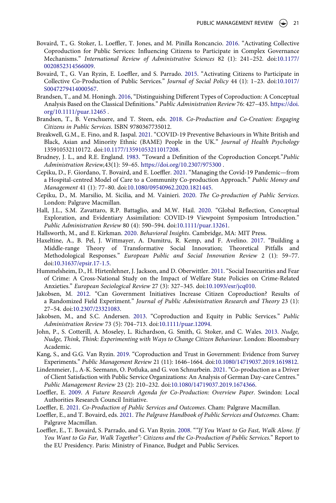- <span id="page-20-16"></span>Bovaird, T., G. Stoker, L. Loeffler, T. Jones, and M. Pinilla Roncancio. [2016.](#page-4-1) "Activating Collective Coproduction for Public Services: Influencing Citizens to Participate in Complex Governance Mechanisms." *International Review of Administrative Sciences* 82 (1): 241–252. doi:[10.1177/](https://doi.org/10.1177/0020852314566009) [0020852314566009](https://doi.org/10.1177/0020852314566009).
- <span id="page-20-17"></span>Bovaird, T., G. Van Ryzin, E. Loeffler, and S. Parrado. [2015.](#page-4-2) "Activating Citizens to Participate in Collective Co-Production of Public Services." *Journal of Social Policy* 44 (1): 1–23. doi:[10.1017/](https://doi.org/10.1017/S0047279414000567) [S0047279414000567](https://doi.org/10.1017/S0047279414000567).
- <span id="page-20-2"></span>Brandsen, T., and M. Honingh. [2016](#page-0-5), "Distinguishing Different Types of Coproduction: A Conceptual Analysis Based on the Classical Definitions." *Public Administration Review* 76: 427–435. [https://doi.](https://doi.org/10.1111/puar.12465) [org/10.1111/puar.12465](https://doi.org/10.1111/puar.12465) .
- <span id="page-20-3"></span>Brandsen, T., B. Verschuere, and T. Steen, eds. [2018.](#page-0-6) *Co-Production and Co-Creation: Engaging Citizens in Public Services*. ISBN 9780367735012.
- <span id="page-20-19"></span>Breakwell, G.M., E. Fino, and R. Jaspal. [2021.](#page-17-0) "COVID-19 Preventive Behaviours in White British and Black, Asian and Minority Ethnic (BAME) People in the UK." *Journal of Health Psychology*  135910532110172. doi:[10.1177/13591053211017208](https://doi.org/10.1177/13591053211017208).
- <span id="page-20-14"></span>Brudney, J. L., and R.E. England. [1983.](#page-4-3) "Toward a Definition of the Coproduction Concept."*Public Administration Review,*43(1): 59–65. <https://doi.org/10.2307/975300> .
- <span id="page-20-7"></span>Cepiku, D., F. Giordano, T. Bovaird, and E. Loeffler. [2021.](#page-0-7) "Managing the Covid-19 Pandemic—from a Hospital-centred Model of Care to a Community Co-production Approach." *Public Money and Management* 41 (1): 77–80. doi:[10.1080/09540962.2020.1821445](https://doi.org/10.1080/09540962.2020.1821445).
- <span id="page-20-9"></span>Cepiku, D., M. Marsilio, M. Sicilia, and M. Vainieri. [2020](#page-1-1). *The Co-production of Public Services*. London: Palgrave Macmillan.
- <span id="page-20-6"></span>Hall, J.L., S.M. Zavattaro, R.P. Battaglio, and M.W. Hail. [2020.](#page-0-7) "Global Reflection, Conceptual Exploration, and Evidentiary Assimilation: COVID-19 Viewpoint Symposium Introduction." *Public Administration Review* 80 (4): 590–594. doi:[10.1111/puar.13261](https://doi.org/10.1111/puar.13261).
- <span id="page-20-13"></span>Hallsworth, M., and E. Kirkman. [2020.](#page-3-2) *Behavioral Insights*. Cambridge, MA: MIT Press.
- <span id="page-20-8"></span>Haxeltine, A., B. Pel, J. Wittmayer, A. Dumitru, R. Kemp, and F. Avelino. [2017](#page-1-2). "Building a Middle-range Theory of Transformative Social Innovation; Theoretical Pitfalls and Methodological Responses." *European Public and Social Innovation Review* 2 (1): 59–77. doi:[10.31637/epsir.17-1.5](https://doi.org/10.31637/epsir.17-1.5).
- <span id="page-20-18"></span>Hummelsheim, D., H. Hirtenlehner, J. Jackson, and D. Oberwittler. [2011](#page-9-0). "Social Insecurities and Fear of Crime: A Cross-National Study on the Impact of Welfare State Policies on Crime-Related Anxieties." *European Sociological Review* 27 (3): 327–345. doi:[10.1093/esr/jcq010.](https://doi.org/10.1093/esr/jcq010)
- <span id="page-20-1"></span>Jakobsen, M. [2012.](#page-0-8) "Can Government Initiatives Increase Citizen Coproduction? Results of a Randomized Field Experiment." *Journal of Public Administration Research and Theory* 23 (1): 27–54. doi:[10.2307/23321083.](https://doi.org/10.2307/23321083)
- <span id="page-20-10"></span>Jakobsen, M., and S.C. Andersen. [2013](#page-1-3). "Coproduction and Equity in Public Services." *Public Administration Review* 73 (5): 704–713. doi:[10.1111/puar.12094.](https://doi.org/10.1111/puar.12094)
- <span id="page-20-12"></span>John, P., S. Cotterill, A. Moseley, L. Richardson, G. Smith, G. Stoker, and C. Wales. [2013](#page-3-2). *Nudge, Nudge, Think, Think: Experimenting with Ways to Change Citizen Behaviour*. London: Bloomsbury Academic.
- <span id="page-20-11"></span>Kang, S., and G.G. Van Ryzin. [2019.](#page-1-4) "Coproduction and Trust in Government: Evidence from Survey Experiments." *Public Management Review* 21 (11): 1646–1664. doi:[10.1080/14719037.2019.1619812.](https://doi.org/10.1080/14719037.2019.1619812)
- <span id="page-20-20"></span>Lindenmeier, J., A-K. Seemann, O. Potluka, and G. von Schnurbein. [2021](#page-17-1). "Co-production as a Driver of Client Satisfaction with Public Service Organizations: An Analysis of German Day-care Centres." *Public Management Review* 23 (2): 210–232. doi:[10.1080/14719037.2019.1674366](https://doi.org/10.1080/14719037.2019.1674366).
- <span id="page-20-0"></span>Loeffler, E. [2009.](#page-0-8) *A Future Research Agenda for Co-Production: Overview Paper*. Swindon: Local Authorities Research Council Initiative.
- <span id="page-20-4"></span>Loeffler, E. [2021.](#page-0-6) *Co-Production of Public Services and Outcomes*. Cham: Palgrave Macmillan.
- <span id="page-20-5"></span>Loeffler, E., and T. Bovaird, eds. [2021](#page-0-6). *The Palgrave Handbook of Public Services and Outcomes*. Cham: Palgrave Macmillan.
- <span id="page-20-15"></span>Loeffler, E., T. Bovaird, S. Parrado, and G. Van Ryzin. [2008.](#page-4-4) "*"If You Want to Go Fast, Walk Alone. If You Want to Go Far, Walk Together": Citizens and the Co-Production of Public Services*." Report to the EU Presidency. Paris: Ministry of Finance, Budget and Public Services.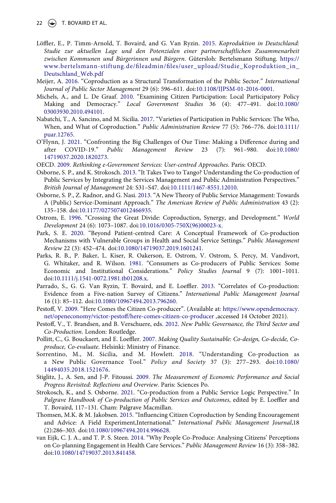22  $\left(\rightarrow\right)$  T. BOVAIRD ET AL.

- <span id="page-21-17"></span>Löffler, E., P. Timm-Arnold, T. Bovaird, and G. Van Ryzin. [2015](#page-4-5). *Koproduktion in Deutschland: Studie zur aktuellen Lage und den Potenzialen einer partnerschaftlichen Zusammenarbeit zwischen Kommunen und Bürgerinnen und Bürgern*. Gütersloh: Bertelsmann Stiftung. [https://](https://www.bertelsmann-stiftung.de/fileadmin/files/user_upload/Studie_Koproduktion_in_Deutschland_Web.pdf) [www.bertelsmann-stiftung.de/fileadmin/files/user\\_upload/Studie\\_Koproduktion\\_in\\_](https://www.bertelsmann-stiftung.de/fileadmin/files/user_upload/Studie_Koproduktion_in_Deutschland_Web.pdf)  [Deutschland\\_Web.pdf](https://www.bertelsmann-stiftung.de/fileadmin/files/user_upload/Studie_Koproduktion_in_Deutschland_Web.pdf)
- <span id="page-21-4"></span>Meijer, A. [2016](#page-0-5). "Coproduction as a Structural Transformation of the Public Sector." *International Journal of Public Sector Management* 29 (6): 596–611. doi:[10.1108/IJPSM-01-2016-0001](https://doi.org/10.1108/IJPSM-01-2016-0001).
- <span id="page-21-18"></span>Michels, A., and L. De Graaf. [2010.](#page-16-0) "Examining Citizen Participation: Local Participatory Policy Making and Democracy." *Local Government Studies* 36 (4): 477–491. doi:[10.1080/](https://doi.org/10.1080/03003930.2010.494101) [03003930.2010.494101](https://doi.org/10.1080/03003930.2010.494101).
- <span id="page-21-5"></span>Nabatchi, T., A. Sancino, and M. Sicilia. [2017.](#page-0-6) "Varieties of Participation in Public Services: The Who, When, and What of Coproduction." *Public Administration Review* 77 (5): 766–776. doi:[10.1111/](https://doi.org/10.1111/puar.12765) [puar.12765](https://doi.org/10.1111/puar.12765).
- <span id="page-21-19"></span>O'Flynn, J. [2021.](#page-17-2) "Confronting the Big Challenges of Our Time: Making a Difference during and after COVID-19." *Public Management Review* 23 (7): 961–980. doi:[10.1080/](https://doi.org/10.1080/14719037.2020.1820273) [14719037.2020.1820273](https://doi.org/10.1080/14719037.2020.1820273).
- <span id="page-21-1"></span>OECD. [2009.](#page-0-8) *Rethinking e-Government Services: User-centred Approaches*. Paris: OECD.
- <span id="page-21-14"></span>Osborne, S. P., and K. Strokosch. [2013](#page-3-3). "It Takes Two to Tango? Understanding the Co-production of Public Services by Integrating the Services Management and Public Administration Perspectives." *British Journal of Management* 24: S31–S47. doi:[10.1111/1467-8551.12010.](https://doi.org/10.1111/1467-8551.12010)
- <span id="page-21-3"></span>Osborne, S. P., Z. Radnor, and G. Nasi. [2013](#page-0-5). "A New Theory of Public Service Management: Towards A (Public) Service-Dominant Approach." *The American Review of Public Administration* 43 (2): 135–158. doi:[10.1177/0275074012466935.](https://doi.org/10.1177/0275074012466935)
- <span id="page-21-11"></span>Ostrom, E. [1996.](#page-3-4) "Crossing the Great Divide: Coproduction, Synergy, and Development." *World Development* 24 (6): 1073–1087. doi:[10.1016/0305-750X\(96\)00023-x.](https://doi.org/10.1016/0305-750X(96)00023-x)
- <span id="page-21-15"></span>Park, S. E. [2020.](#page-3-5) "Beyond Patient-centred Care: A Conceptual Framework of Co-production Mechanisms with Vulnerable Groups in Health and Social Service Settings." *Public Management Review* 22 (3): 452–474. doi:[10.1080/14719037.2019.1601241.](https://doi.org/10.1080/14719037.2019.1601241)
- <span id="page-21-7"></span>Parks, R. B., P. Baker, L. Kiser, R. Oakerson, E. Ostrom, V. Ostrom, S. Percy, M. Vandivort, G. Whitaker, and R. Wilson. [1981.](#page-1-5) "Consumers as Co-producers of Public Services: Some Economic and Institutional Considerations." *Policy Studies Journal* 9 (7): 1001–1011. doi:[10.1111/j.1541-0072.1981.tb01208.x](https://doi.org/10.1111/j.1541-0072.1981.tb01208.x).
- <span id="page-21-16"></span>Parrado, S., G. G. Van Ryzin, T. Bovaird, and E. Loeffler. [2013](#page-4-1). "Correlates of Co-production: Evidence from a Five-nation Survey of Citizens." *International Public Management Journal*  16 (1): 85–112. doi:[10.1080/10967494.2013.796260.](https://doi.org/10.1080/10967494.2013.796260)
- <span id="page-21-12"></span>Pestoff, V. [2009.](#page-3-4) "Here Comes the Citizen Co-producer". (Available at: [https://www.opendemocracy.](https://www.opendemocracy.net/openeconomy/victor-pestoff/here-comes-citizen-co-producer) [net/openeconomy/victor-pestoff/here-comes-citizen-co-producer](https://www.opendemocracy.net/openeconomy/victor-pestoff/here-comes-citizen-co-producer) , accessed 14 October 2021).
- <span id="page-21-2"></span>Pestoff, V., T. Brandsen, and B. Verschuere, eds. [2012](#page-0-9). *New Public Governance, the Third Sector and Co-Production*. London: Routledge.
- <span id="page-21-0"></span>Pollitt, C., G. Bouckaert, and E. Loeffler. [2007](#page-0-8). *Making Quality Sustainable: Co-design, Co-decide, Coproduce, Co-evaluate*. Helsinki: Ministry of Finance.
- <span id="page-21-13"></span>Sorrentino, M., M. Sicilia, and M. Howlett. [2018](#page-3-6). "Understanding Co-production as a New Public Governance Tool." *Policy and Society* 37 (3): 277–293. doi:[10.1080/](https://doi.org/10.1080/14494035.2018.1521676) [14494035.2018.1521676.](https://doi.org/10.1080/14494035.2018.1521676)
- <span id="page-21-10"></span>Stiglitz, J., A. Sen, and J-P. Fitoussi. [2009.](#page-3-7) *The Measurement of Economic Performance and Social Progress Revisited: Reflections and Overview*. Paris: Sciences Po.
- <span id="page-21-6"></span>Strokosch, K., and S. Osborne. [2021.](#page-1-6) "Co-production from a Public Service Logic Perspective." In *Palgrave Handbook of Co-production of Public Services and Outcomes*, edited by E. Loeffler and T. Bovaird, 117–131. Cham: Palgrave Macmillan.
- <span id="page-21-8"></span>Thomsen, M.K. & M. Jakobsen. [2015](#page-1-7). "Influencing Citizen Coproduction by Sending Encouragement and Advice: A Field Experiment,International." *International Public Management Journal*,18 (2):286–303. doi:[10.1080/10967494.2014.996628.](https://doi.org/10.1080/10967494.2014.996628)
- <span id="page-21-9"></span>van Eijk, C. J. A., and T. P. S. Steen. [2014.](#page-1-8) "Why People Co-Produce: Analysing Citizens' Perceptions on Co-planning Engagement in Health Care Services." *Public Management Review* 16 (3): 358–382. doi:[10.1080/14719037.2013.841458.](https://doi.org/10.1080/14719037.2013.841458)